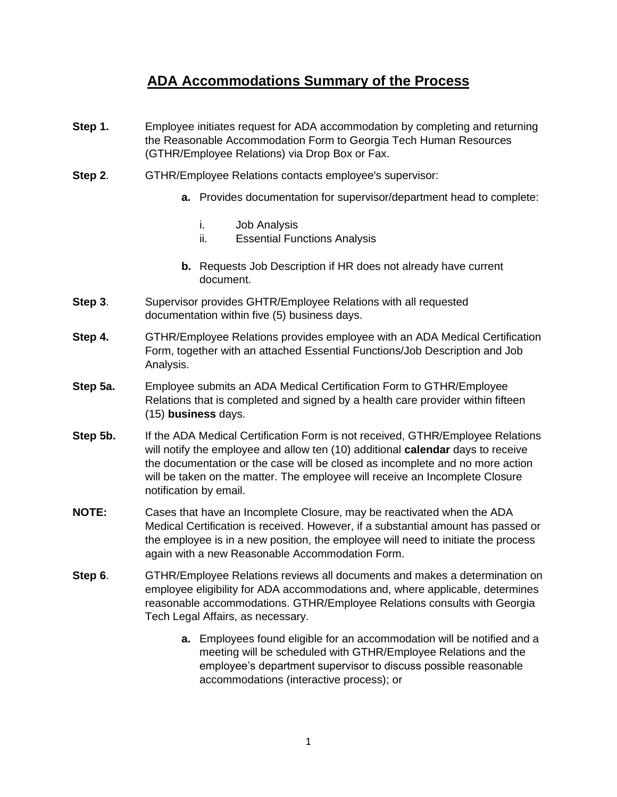## **ADA Accommodations Summary of the Process**

- **Step 1.** Employee initiates request for ADA accommodation by completing and returning the Reasonable Accommodation Form to Georgia Tech Human Resources (GTHR/Employee Relations) via Drop Box or Fax.
- **Step 2.** GTHR/Employee Relations contacts employee's supervisor:
	- **a.** Provides documentation for supervisor/department head to complete:
		- i. Job Analysis
		- ii. Essential Functions Analysis
	- **b.** Requests Job Description if HR does not already have current document.
- **Step 3.** Supervisor provides GHTR/Employee Relations with all requested documentation within five (5) business days.
- **Step 4.** GTHR/Employee Relations provides employee with an ADA Medical Certification Form, together with an attached Essential Functions/Job Description and Job Analysis.
- **Step 5a.** Employee submits an ADA Medical Certification Form to GTHR/Employee Relations that is completed and signed by a health care provider within fifteen (15) **business** days.
- **Step 5b.** If the ADA Medical Certification Form is not received, GTHR/Employee Relations will notify the employee and allow ten (10) additional **calendar** days to receive the documentation or the case will be closed as incomplete and no more action will be taken on the matter. The employee will receive an Incomplete Closure notification by email.
- **NOTE:** Cases that have an Incomplete Closure, may be reactivated when the ADA Medical Certification is received. However, if a substantial amount has passed or the employee is in a new position, the employee will need to initiate the process again with a new Reasonable Accommodation Form.
- **Step 6.** GTHR/Employee Relations reviews all documents and makes a determination on employee eligibility for ADA accommodations and, where applicable, determines reasonable accommodations. GTHR/Employee Relations consults with Georgia Tech Legal Affairs, as necessary.
	- **a.** Employees found eligible for an accommodation will be notified and a meeting will be scheduled with GTHR/Employee Relations and the employee's department supervisor to discuss possible reasonable accommodations (interactive process); or